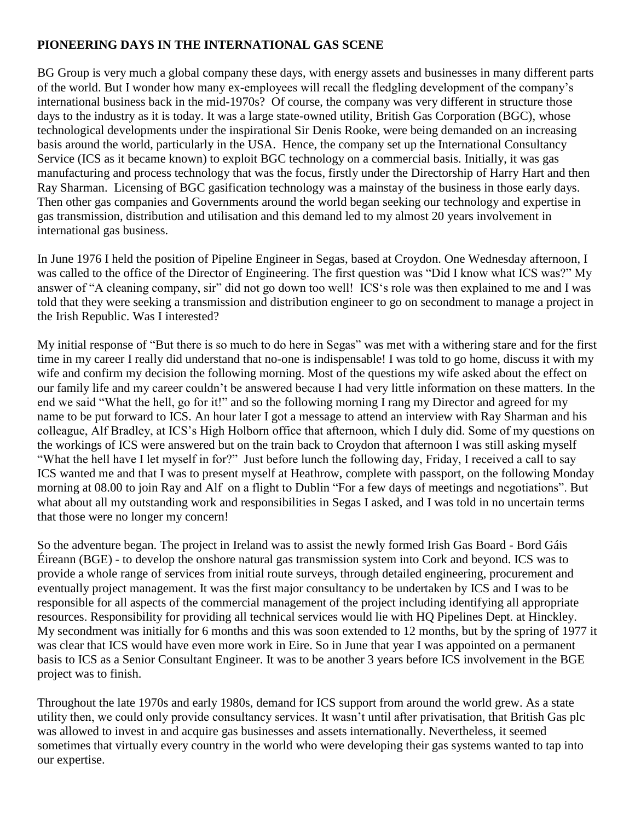## **PIONEERING DAYS IN THE INTERNATIONAL GAS SCENE**

BG Group is very much a global company these days, with energy assets and businesses in many different parts of the world. But I wonder how many ex-employees will recall the fledgling development of the company's international business back in the mid-1970s? Of course, the company was very different in structure those days to the industry as it is today. It was a large state-owned utility, British Gas Corporation (BGC), whose technological developments under the inspirational Sir Denis Rooke, were being demanded on an increasing basis around the world, particularly in the USA. Hence, the company set up the International Consultancy Service (ICS as it became known) to exploit BGC technology on a commercial basis. Initially, it was gas manufacturing and process technology that was the focus, firstly under the Directorship of Harry Hart and then Ray Sharman. Licensing of BGC gasification technology was a mainstay of the business in those early days. Then other gas companies and Governments around the world began seeking our technology and expertise in gas transmission, distribution and utilisation and this demand led to my almost 20 years involvement in international gas business.

In June 1976 I held the position of Pipeline Engineer in Segas, based at Croydon. One Wednesday afternoon, I was called to the office of the Director of Engineering. The first question was "Did I know what ICS was?" My answer of "A cleaning company, sir" did not go down too well! ICS's role was then explained to me and I was told that they were seeking a transmission and distribution engineer to go on secondment to manage a project in the Irish Republic. Was I interested?

My initial response of "But there is so much to do here in Segas" was met with a withering stare and for the first time in my career I really did understand that no-one is indispensable! I was told to go home, discuss it with my wife and confirm my decision the following morning. Most of the questions my wife asked about the effect on our family life and my career couldn't be answered because I had very little information on these matters. In the end we said "What the hell, go for it!" and so the following morning I rang my Director and agreed for my name to be put forward to ICS. An hour later I got a message to attend an interview with Ray Sharman and his colleague, Alf Bradley, at ICS's High Holborn office that afternoon, which I duly did. Some of my questions on the workings of ICS were answered but on the train back to Croydon that afternoon I was still asking myself "What the hell have I let myself in for?" Just before lunch the following day, Friday, I received a call to say ICS wanted me and that I was to present myself at Heathrow, complete with passport, on the following Monday morning at 08.00 to join Ray and Alf on a flight to Dublin "For a few days of meetings and negotiations". But what about all my outstanding work and responsibilities in Segas I asked, and I was told in no uncertain terms that those were no longer my concern!

So the adventure began. The project in Ireland was to assist the newly formed Irish Gas Board - Bord Gáis Éireann (BGE) - to develop the onshore natural gas transmission system into Cork and beyond. ICS was to provide a whole range of services from initial route surveys, through detailed engineering, procurement and eventually project management. It was the first major consultancy to be undertaken by ICS and I was to be responsible for all aspects of the commercial management of the project including identifying all appropriate resources. Responsibility for providing all technical services would lie with HQ Pipelines Dept. at Hinckley. My secondment was initially for 6 months and this was soon extended to 12 months, but by the spring of 1977 it was clear that ICS would have even more work in Eire. So in June that year I was appointed on a permanent basis to ICS as a Senior Consultant Engineer. It was to be another 3 years before ICS involvement in the BGE project was to finish.

Throughout the late 1970s and early 1980s, demand for ICS support from around the world grew. As a state utility then, we could only provide consultancy services. It wasn't until after privatisation, that British Gas plc was allowed to invest in and acquire gas businesses and assets internationally. Nevertheless, it seemed sometimes that virtually every country in the world who were developing their gas systems wanted to tap into our expertise.